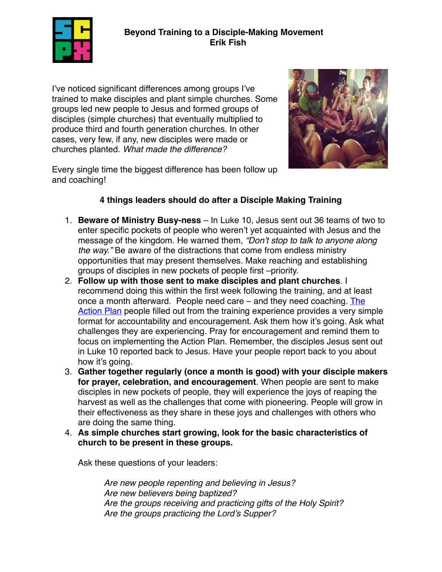

## **Beyond Training to a Disciple-Making Movement Erik Fish**

I've noticed significant differences among groups I've trained to make disciples and plant simple churches. Some groups led new people to Jesus and formed groups of disciples (simple churches) that eventually multiplied to produce third and fourth generation churches. In other cases, very few, if any, new disciples were made or churches planted. *What made the difference?*



Every single time the biggest difference has been follow up and coaching!

## **4 things leaders should do after a Disciple Making Training**

- 1. **Beware of Ministry Busy-ness** In Luke 10, Jesus sent out 36 teams of two to enter specific pockets of people who weren't yet acquainted with Jesus and the message of the kingdom. He warned them, *"Don't stop to talk to anyone along the way."* Be aware of the distractions that come from endless ministry opportunities that may present themselves. Make reaching and establishing groups of disciples in new pockets of people first –priority.
- 2. **Follow up with those sent to make disciples and plant churches**. I recommend doing this within the first week following the training, and at least once a month afterward. People need care – and they need coaching. The [Action Plan](http://scpx.org/paperclip/posts/42/Action%20Plan%20to%20Reach%20Your%20Campus%20or%20City.pdf) people filled out from the training experience provides a very simple format for accountability and encouragement. Ask them how it's going. Ask what challenges they are experiencing. Pray for encouragement and remind them to focus on implementing the Action Plan. Remember, the disciples Jesus sent out in Luke 10 reported back to Jesus. Have your people report back to you about how it's going.
- 3. **Gather together regularly (once a month is good) with your disciple makers for prayer, celebration, and encouragement**. When people are sent to make disciples in new pockets of people, they will experience the joys of reaping the harvest as well as the challenges that come with pioneering. People will grow in their effectiveness as they share in these joys and challenges with others who are doing the same thing.
- 4. **As simple churches start growing, look for the basic characteristics of church to be present in these groups.**

Ask these questions of your leaders:

*Are new people repenting and believing in Jesus? Are new believers being baptized? Are the groups receiving and practicing gifts of the Holy Spirit? Are the groups practicing the Lord's Supper?*